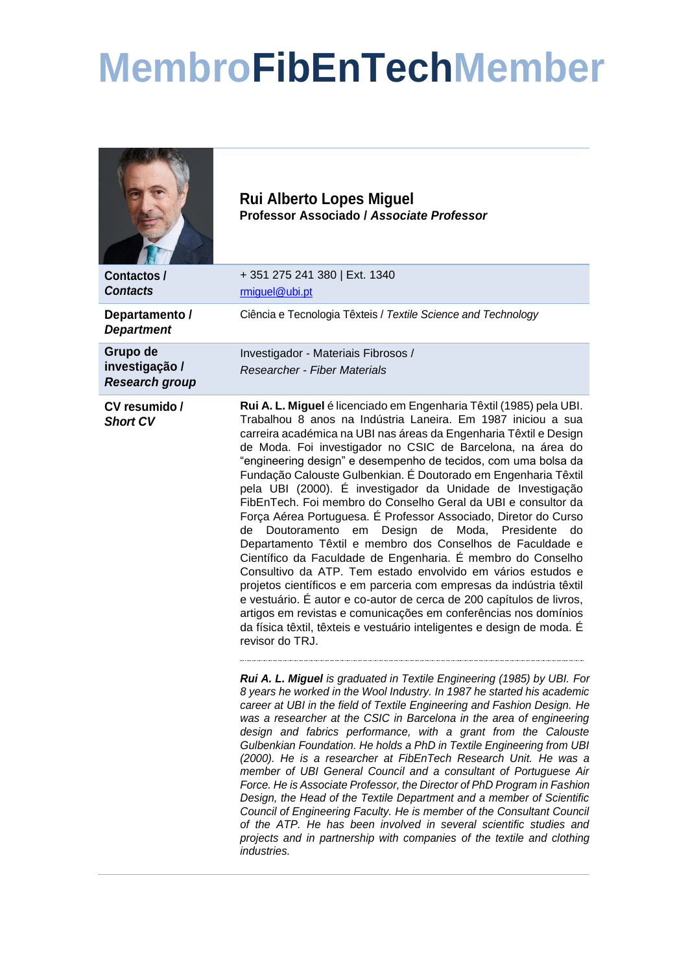## **MembroFibEnTechMember**

|                                                     | <b>Rui Alberto Lopes Miguel</b><br>Professor Associado / Associate Professor                                                                                                                                                                                                                                                                                                                                                                                                                                                                                                                                                                                                                                                                                                                                                                                                                                                                                                                                                                                                                                                                                                              |
|-----------------------------------------------------|-------------------------------------------------------------------------------------------------------------------------------------------------------------------------------------------------------------------------------------------------------------------------------------------------------------------------------------------------------------------------------------------------------------------------------------------------------------------------------------------------------------------------------------------------------------------------------------------------------------------------------------------------------------------------------------------------------------------------------------------------------------------------------------------------------------------------------------------------------------------------------------------------------------------------------------------------------------------------------------------------------------------------------------------------------------------------------------------------------------------------------------------------------------------------------------------|
| Contactos/<br><b>Contacts</b>                       | +351 275 241 380   Ext. 1340<br>rmiguel@ubi.pt                                                                                                                                                                                                                                                                                                                                                                                                                                                                                                                                                                                                                                                                                                                                                                                                                                                                                                                                                                                                                                                                                                                                            |
| Departamento /<br><b>Department</b>                 | Ciência e Tecnologia Têxteis / Textile Science and Technology                                                                                                                                                                                                                                                                                                                                                                                                                                                                                                                                                                                                                                                                                                                                                                                                                                                                                                                                                                                                                                                                                                                             |
| Grupo de<br>investigação /<br><b>Research group</b> | Investigador - Materiais Fibrosos /<br><b>Researcher - Fiber Materials</b>                                                                                                                                                                                                                                                                                                                                                                                                                                                                                                                                                                                                                                                                                                                                                                                                                                                                                                                                                                                                                                                                                                                |
| CV resumido /<br><b>Short CV</b>                    | Rui A. L. Miguel é licenciado em Engenharia Têxtil (1985) pela UBI.<br>Trabalhou 8 anos na Indústria Laneira. Em 1987 iniciou a sua<br>carreira académica na UBI nas áreas da Engenharia Têxtil e Design<br>de Moda. Foi investigador no CSIC de Barcelona, na área do<br>"engineering design" e desempenho de tecidos, com uma bolsa da<br>Fundação Calouste Gulbenkian. É Doutorado em Engenharia Têxtil<br>pela UBI (2000). É investigador da Unidade de Investigação<br>FibEnTech. Foi membro do Conselho Geral da UBI e consultor da<br>Força Aérea Portuguesa. É Professor Associado, Diretor do Curso<br>de Moda, Presidente<br>Doutoramento<br>em<br>Design<br>do<br>de<br>Departamento Têxtil e membro dos Conselhos de Faculdade e<br>Científico da Faculdade de Engenharia. É membro do Conselho<br>Consultivo da ATP. Tem estado envolvido em vários estudos e<br>projetos científicos e em parceria com empresas da indústria têxtil<br>e vestuário. É autor e co-autor de cerca de 200 capítulos de livros,<br>artigos em revistas e comunicações em conferências nos domínios<br>da física têxtil, têxteis e vestuário inteligentes e design de moda. É<br>revisor do TRJ. |
|                                                     | Rui A. L. Miguel is graduated in Textile Engineering (1985) by UBI. For<br>8 years he worked in the Wool Industry. In 1987 he started his academic<br>career at UBI in the field of Textile Engineering and Fashion Design. He<br>was a researcher at the CSIC in Barcelona in the area of engineering<br>design and fabrics performance, with a grant from the Calouste<br>Gulbenkian Foundation. He holds a PhD in Textile Engineering from UBI<br>(2000). He is a researcher at FibEnTech Research Unit. He was a<br>member of UBI General Council and a consultant of Portuguese Air<br>Force. He is Associate Professor, the Director of PhD Program in Fashion<br>Design, the Head of the Textile Department and a member of Scientific<br>Council of Engineering Faculty. He is member of the Consultant Council<br>of the ATP. He has been involved in several scientific studies and<br>projects and in partnership with companies of the textile and clothing<br>industries.                                                                                                                                                                                                    |